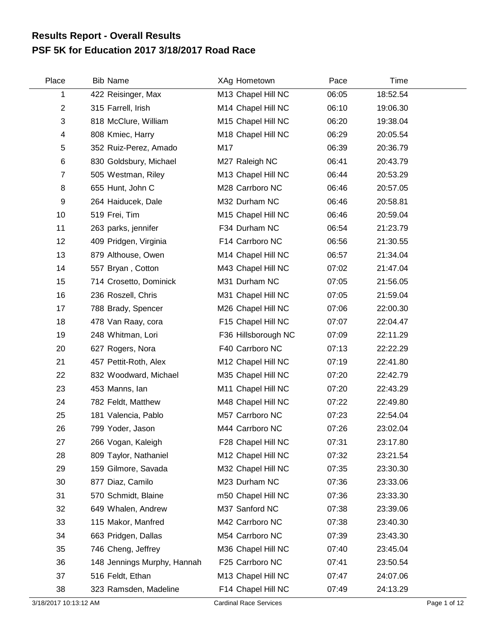## **PSF 5K for Education 2017 3/18/2017 Road Race Results Report - Overall Results**

| Place                 | <b>Bib Name</b>             | XAg Hometown                  | Pace  | Time     |              |
|-----------------------|-----------------------------|-------------------------------|-------|----------|--------------|
| 1                     | 422 Reisinger, Max          | M13 Chapel Hill NC            | 06:05 | 18:52.54 |              |
| $\overline{2}$        | 315 Farrell, Irish          | M14 Chapel Hill NC            | 06:10 | 19:06.30 |              |
| 3                     | 818 McClure, William        | M15 Chapel Hill NC            | 06:20 | 19:38.04 |              |
| 4                     | 808 Kmiec, Harry            | M18 Chapel Hill NC            | 06:29 | 20:05.54 |              |
| 5                     | 352 Ruiz-Perez, Amado       | M17                           | 06:39 | 20:36.79 |              |
| 6                     | 830 Goldsbury, Michael      | M27 Raleigh NC                | 06:41 | 20:43.79 |              |
| $\overline{7}$        | 505 Westman, Riley          | M13 Chapel Hill NC            | 06:44 | 20:53.29 |              |
| 8                     | 655 Hunt, John C            | M28 Carrboro NC               | 06:46 | 20:57.05 |              |
| 9                     | 264 Haiducek, Dale          | M32 Durham NC                 | 06:46 | 20:58.81 |              |
| 10                    | 519 Frei, Tim               | M15 Chapel Hill NC            | 06:46 | 20:59.04 |              |
| 11                    | 263 parks, jennifer         | F34 Durham NC                 | 06:54 | 21:23.79 |              |
| 12                    | 409 Pridgen, Virginia       | F14 Carrboro NC               | 06:56 | 21:30.55 |              |
| 13                    | 879 Althouse, Owen          | M14 Chapel Hill NC            | 06:57 | 21:34.04 |              |
| 14                    | 557 Bryan, Cotton           | M43 Chapel Hill NC            | 07:02 | 21:47.04 |              |
| 15                    | 714 Crosetto, Dominick      | M31 Durham NC                 | 07:05 | 21:56.05 |              |
| 16                    | 236 Roszell, Chris          | M31 Chapel Hill NC            | 07:05 | 21:59.04 |              |
| 17                    | 788 Brady, Spencer          | M26 Chapel Hill NC            | 07:06 | 22:00.30 |              |
| 18                    | 478 Van Raay, cora          | F15 Chapel Hill NC            | 07:07 | 22:04.47 |              |
| 19                    | 248 Whitman, Lori           | F36 Hillsborough NC           | 07:09 | 22:11.29 |              |
| 20                    | 627 Rogers, Nora            | F40 Carrboro NC               | 07:13 | 22:22.29 |              |
| 21                    | 457 Pettit-Roth, Alex       | M12 Chapel Hill NC            | 07:19 | 22:41.80 |              |
| 22                    | 832 Woodward, Michael       | M35 Chapel Hill NC            | 07:20 | 22:42.79 |              |
| 23                    | 453 Manns, Ian              | M11 Chapel Hill NC            | 07:20 | 22:43.29 |              |
| 24                    | 782 Feldt, Matthew          | M48 Chapel Hill NC            | 07:22 | 22:49.80 |              |
| 25                    | 181 Valencia, Pablo         | M57 Carrboro NC               | 07:23 | 22:54.04 |              |
| 26                    | 799 Yoder, Jason            | M44 Carrboro NC               | 07:26 | 23:02.04 |              |
| 27                    | 266 Vogan, Kaleigh          | F28 Chapel Hill NC            | 07:31 | 23:17.80 |              |
| 28                    | 809 Taylor, Nathaniel       | M12 Chapel Hill NC            | 07:32 | 23:21.54 |              |
| 29                    | 159 Gilmore, Savada         | M32 Chapel Hill NC            | 07:35 | 23:30.30 |              |
| 30                    | 877 Diaz, Camilo            | M23 Durham NC                 | 07:36 | 23:33.06 |              |
| 31                    | 570 Schmidt, Blaine         | m50 Chapel Hill NC            | 07:36 | 23:33.30 |              |
| 32                    | 649 Whalen, Andrew          | M37 Sanford NC                | 07:38 | 23:39.06 |              |
| 33                    | 115 Makor, Manfred          | M42 Carrboro NC               | 07:38 | 23:40.30 |              |
| 34                    | 663 Pridgen, Dallas         | M54 Carrboro NC               | 07:39 | 23:43.30 |              |
| 35                    | 746 Cheng, Jeffrey          | M36 Chapel Hill NC            | 07:40 | 23:45.04 |              |
| 36                    | 148 Jennings Murphy, Hannah | F25 Carrboro NC               | 07:41 | 23:50.54 |              |
| 37                    | 516 Feldt, Ethan            | M13 Chapel Hill NC            | 07:47 | 24:07.06 |              |
| 38                    | 323 Ramsden, Madeline       | F14 Chapel Hill NC            | 07:49 | 24:13.29 |              |
| 3/18/2017 10:13:12 AM |                             | <b>Cardinal Race Services</b> |       |          | Page 1 of 12 |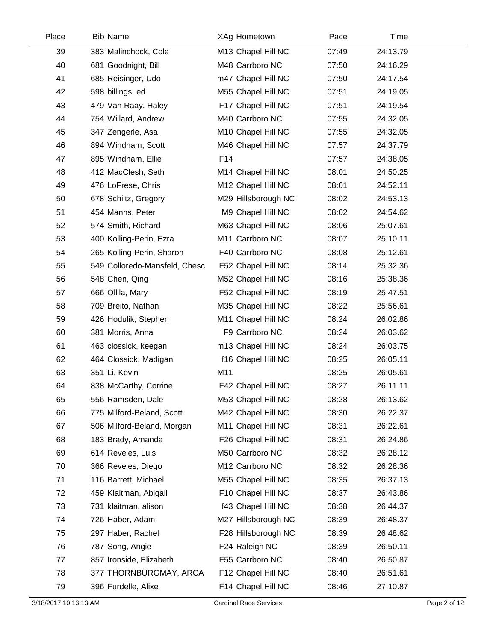| Place | <b>Bib Name</b>               | XAg Hometown        | Pace  | Time     |
|-------|-------------------------------|---------------------|-------|----------|
| 39    | 383 Malinchock, Cole          | M13 Chapel Hill NC  | 07:49 | 24:13.79 |
| 40    | 681 Goodnight, Bill           | M48 Carrboro NC     | 07:50 | 24:16.29 |
| 41    | 685 Reisinger, Udo            | m47 Chapel Hill NC  | 07:50 | 24:17.54 |
| 42    | 598 billings, ed              | M55 Chapel Hill NC  | 07:51 | 24:19.05 |
| 43    | 479 Van Raay, Haley           | F17 Chapel Hill NC  | 07:51 | 24:19.54 |
| 44    | 754 Willard, Andrew           | M40 Carrboro NC     | 07:55 | 24:32.05 |
| 45    | 347 Zengerle, Asa             | M10 Chapel Hill NC  | 07:55 | 24:32.05 |
| 46    | 894 Windham, Scott            | M46 Chapel Hill NC  | 07:57 | 24:37.79 |
| 47    | 895 Windham, Ellie            | F14                 | 07:57 | 24:38.05 |
| 48    | 412 MacClesh, Seth            | M14 Chapel Hill NC  | 08:01 | 24:50.25 |
| 49    | 476 LoFrese, Chris            | M12 Chapel Hill NC  | 08:01 | 24:52.11 |
| 50    | 678 Schiltz, Gregory          | M29 Hillsborough NC | 08:02 | 24:53.13 |
| 51    | 454 Manns, Peter              | M9 Chapel Hill NC   | 08:02 | 24:54.62 |
| 52    | 574 Smith, Richard            | M63 Chapel Hill NC  | 08:06 | 25:07.61 |
| 53    | 400 Kolling-Perin, Ezra       | M11 Carrboro NC     | 08:07 | 25:10.11 |
| 54    | 265 Kolling-Perin, Sharon     | F40 Carrboro NC     | 08:08 | 25:12.61 |
| 55    | 549 Colloredo-Mansfeld, Chesc | F52 Chapel Hill NC  | 08:14 | 25:32.36 |
| 56    | 548 Chen, Qing                | M52 Chapel Hill NC  | 08:16 | 25:38.36 |
| 57    | 666 Ollila, Mary              | F52 Chapel Hill NC  | 08:19 | 25:47.51 |
| 58    | 709 Breito, Nathan            | M35 Chapel Hill NC  | 08:22 | 25:56.61 |
| 59    | 426 Hodulik, Stephen          | M11 Chapel Hill NC  | 08:24 | 26:02.86 |
| 60    | 381 Morris, Anna              | F9 Carrboro NC      | 08:24 | 26:03.62 |
| 61    | 463 clossick, keegan          | m13 Chapel Hill NC  | 08:24 | 26:03.75 |
| 62    | 464 Clossick, Madigan         | f16 Chapel Hill NC  | 08:25 | 26:05.11 |
| 63    | 351 Li, Kevin                 | M11                 | 08:25 | 26:05.61 |
| 64    | 838 McCarthy, Corrine         | F42 Chapel Hill NC  | 08:27 | 26:11.11 |
| 65    | 556 Ramsden, Dale             | M53 Chapel Hill NC  | 08:28 | 26:13.62 |
| 66    | 775 Milford-Beland, Scott     | M42 Chapel Hill NC  | 08:30 | 26:22.37 |
| 67    | 506 Milford-Beland, Morgan    | M11 Chapel Hill NC  | 08:31 | 26:22.61 |
| 68    | 183 Brady, Amanda             | F26 Chapel Hill NC  | 08:31 | 26:24.86 |
| 69    | 614 Reveles, Luis             | M50 Carrboro NC     | 08:32 | 26:28.12 |
| 70    | 366 Reveles, Diego            | M12 Carrboro NC     | 08:32 | 26:28.36 |
| 71    | 116 Barrett, Michael          | M55 Chapel Hill NC  | 08:35 | 26:37.13 |
| 72    | 459 Klaitman, Abigail         | F10 Chapel Hill NC  | 08:37 | 26:43.86 |
| 73    | 731 klaitman, alison          | f43 Chapel Hill NC  | 08:38 | 26:44.37 |
| 74    | 726 Haber, Adam               | M27 Hillsborough NC | 08:39 | 26:48.37 |
| 75    | 297 Haber, Rachel             | F28 Hillsborough NC | 08:39 | 26:48.62 |
| 76    | 787 Song, Angie               | F24 Raleigh NC      | 08:39 | 26:50.11 |
| 77    | 857 Ironside, Elizabeth       | F55 Carrboro NC     | 08:40 | 26:50.87 |
| 78    | 377 THORNBURGMAY, ARCA        | F12 Chapel Hill NC  | 08:40 | 26:51.61 |
| 79    | 396 Furdelle, Alixe           | F14 Chapel Hill NC  | 08:46 | 27:10.87 |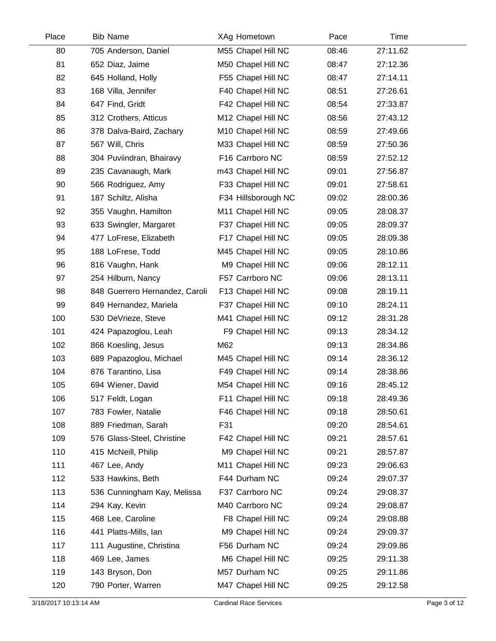| <b>Bib Name</b>                | XAg Hometown        | Pace  | Time     |
|--------------------------------|---------------------|-------|----------|
| 705 Anderson, Daniel           | M55 Chapel Hill NC  | 08:46 | 27:11.62 |
| 652 Diaz, Jaime                | M50 Chapel Hill NC  | 08:47 | 27:12.36 |
| 645 Holland, Holly             | F55 Chapel Hill NC  | 08:47 | 27:14.11 |
| 168 Villa, Jennifer            | F40 Chapel Hill NC  | 08:51 | 27:26.61 |
| 647 Find, Gridt                | F42 Chapel Hill NC  | 08:54 | 27:33.87 |
| 312 Crothers, Atticus          | M12 Chapel Hill NC  | 08:56 | 27:43.12 |
| 378 Dalva-Baird, Zachary       | M10 Chapel Hill NC  | 08:59 | 27:49.66 |
| 567 Will, Chris                | M33 Chapel Hill NC  | 08:59 | 27:50.36 |
| 304 Puviindran, Bhairavy       | F16 Carrboro NC     | 08:59 | 27:52.12 |
| 235 Cavanaugh, Mark            | m43 Chapel Hill NC  | 09:01 | 27:56.87 |
| 566 Rodriguez, Amy             | F33 Chapel Hill NC  | 09:01 | 27:58.61 |
| 187 Schiltz, Alisha            | F34 Hillsborough NC | 09:02 | 28:00.36 |
| 355 Vaughn, Hamilton           | M11 Chapel Hill NC  | 09:05 | 28:08.37 |
| 633 Swingler, Margaret         | F37 Chapel Hill NC  | 09:05 | 28:09.37 |
| 477 LoFrese, Elizabeth         | F17 Chapel Hill NC  | 09:05 | 28:09.38 |
| 188 LoFrese, Todd              | M45 Chapel Hill NC  | 09:05 | 28:10.86 |
| 816 Vaughn, Hank               | M9 Chapel Hill NC   | 09:06 | 28:12.11 |
| 254 Hilburn, Nancy             | F57 Carrboro NC     | 09:06 | 28:13.11 |
| 848 Guerrero Hernandez, Caroli | F13 Chapel Hill NC  | 09:08 | 28:19.11 |
| 849 Hernandez, Mariela         | F37 Chapel Hill NC  | 09:10 | 28:24.11 |
| 530 DeVrieze, Steve            | M41 Chapel Hill NC  | 09:12 | 28:31.28 |
| 424 Papazoglou, Leah           | F9 Chapel Hill NC   | 09:13 | 28:34.12 |
| 866 Koesling, Jesus            | M62                 | 09:13 | 28:34.86 |
| 689 Papazoglou, Michael        | M45 Chapel Hill NC  | 09:14 | 28:36.12 |
| 876 Tarantino, Lisa            | F49 Chapel Hill NC  | 09:14 | 28:38.86 |
| 694 Wiener, David              | M54 Chapel Hill NC  | 09:16 | 28:45.12 |
| 517 Feldt, Logan               | F11 Chapel Hill NC  | 09:18 | 28:49.36 |
| 783 Fowler, Natalie            | F46 Chapel Hill NC  | 09:18 | 28:50.61 |
| 889 Friedman, Sarah            | F31                 | 09:20 | 28:54.61 |
| 576 Glass-Steel, Christine     | F42 Chapel Hill NC  | 09:21 | 28:57.61 |
| 415 McNeill, Philip            | M9 Chapel Hill NC   | 09:21 | 28:57.87 |
| 467 Lee, Andy                  | M11 Chapel Hill NC  | 09:23 | 29:06.63 |
| 533 Hawkins, Beth              | F44 Durham NC       | 09:24 | 29:07.37 |
| 536 Cunningham Kay, Melissa    | F37 Carrboro NC     | 09:24 | 29:08.37 |
| 294 Kay, Kevin                 | M40 Carrboro NC     | 09:24 | 29:08.87 |
| 468 Lee, Caroline              | F8 Chapel Hill NC   | 09:24 | 29:08.88 |
| 441 Platts-Mills, lan          | M9 Chapel Hill NC   | 09:24 | 29:09.37 |
| 111 Augustine, Christina       | F56 Durham NC       | 09:24 | 29:09.86 |
| 469 Lee, James                 | M6 Chapel Hill NC   | 09:25 | 29:11.38 |
| 143 Bryson, Don                | M57 Durham NC       | 09:25 | 29:11.86 |
| 790 Porter, Warren             | M47 Chapel Hill NC  | 09:25 | 29:12.58 |
|                                |                     |       |          |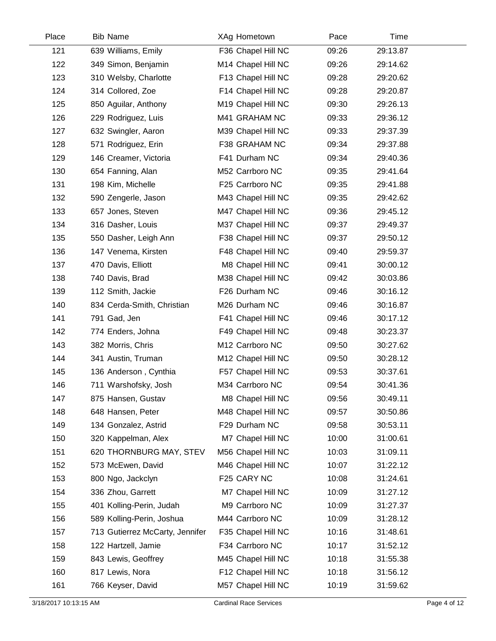| Place | <b>Bib Name</b>                 | XAg Hometown       | Pace  | Time     |
|-------|---------------------------------|--------------------|-------|----------|
| 121   | 639 Williams, Emily             | F36 Chapel Hill NC | 09:26 | 29:13.87 |
| 122   | 349 Simon, Benjamin             | M14 Chapel Hill NC | 09:26 | 29:14.62 |
| 123   | 310 Welsby, Charlotte           | F13 Chapel Hill NC | 09:28 | 29:20.62 |
| 124   | 314 Collored, Zoe               | F14 Chapel Hill NC | 09:28 | 29:20.87 |
| 125   | 850 Aguilar, Anthony            | M19 Chapel Hill NC | 09:30 | 29:26.13 |
| 126   | 229 Rodriguez, Luis             | M41 GRAHAM NC      | 09:33 | 29:36.12 |
| 127   | 632 Swingler, Aaron             | M39 Chapel Hill NC | 09:33 | 29:37.39 |
| 128   | 571 Rodriguez, Erin             | F38 GRAHAM NC      | 09:34 | 29:37.88 |
| 129   | 146 Creamer, Victoria           | F41 Durham NC      | 09:34 | 29:40.36 |
| 130   | 654 Fanning, Alan               | M52 Carrboro NC    | 09:35 | 29:41.64 |
| 131   | 198 Kim, Michelle               | F25 Carrboro NC    | 09:35 | 29:41.88 |
| 132   | 590 Zengerle, Jason             | M43 Chapel Hill NC | 09:35 | 29:42.62 |
| 133   | 657 Jones, Steven               | M47 Chapel Hill NC | 09:36 | 29:45.12 |
| 134   | 316 Dasher, Louis               | M37 Chapel Hill NC | 09:37 | 29:49.37 |
| 135   | 550 Dasher, Leigh Ann           | F38 Chapel Hill NC | 09:37 | 29:50.12 |
| 136   | 147 Venema, Kirsten             | F48 Chapel Hill NC | 09:40 | 29:59.37 |
| 137   | 470 Davis, Elliott              | M8 Chapel Hill NC  | 09:41 | 30:00.12 |
| 138   | 740 Davis, Brad                 | M38 Chapel Hill NC | 09:42 | 30:03.86 |
| 139   | 112 Smith, Jackie               | F26 Durham NC      | 09:46 | 30:16.12 |
| 140   | 834 Cerda-Smith, Christian      | M26 Durham NC      | 09:46 | 30:16.87 |
| 141   | 791 Gad, Jen                    | F41 Chapel Hill NC | 09:46 | 30:17.12 |
| 142   | 774 Enders, Johna               | F49 Chapel Hill NC | 09:48 | 30:23.37 |
| 143   | 382 Morris, Chris               | M12 Carrboro NC    | 09:50 | 30:27.62 |
| 144   | 341 Austin, Truman              | M12 Chapel Hill NC | 09:50 | 30:28.12 |
| 145   | 136 Anderson, Cynthia           | F57 Chapel Hill NC | 09:53 | 30:37.61 |
| 146   | 711 Warshofsky, Josh            | M34 Carrboro NC    | 09:54 | 30:41.36 |
| 147   | 875 Hansen, Gustav              | M8 Chapel Hill NC  | 09:56 | 30:49.11 |
| 148   | 648 Hansen, Peter               | M48 Chapel Hill NC | 09:57 | 30:50.86 |
| 149   | 134 Gonzalez, Astrid            | F29 Durham NC      | 09:58 | 30:53.11 |
| 150   | 320 Kappelman, Alex             | M7 Chapel Hill NC  | 10:00 | 31:00.61 |
| 151   | 620 THORNBURG MAY, STEV         | M56 Chapel Hill NC | 10:03 | 31:09.11 |
| 152   | 573 McEwen, David               | M46 Chapel Hill NC | 10:07 | 31:22.12 |
| 153   | 800 Ngo, Jackclyn               | F25 CARY NC        | 10:08 | 31:24.61 |
| 154   | 336 Zhou, Garrett               | M7 Chapel Hill NC  | 10:09 | 31:27.12 |
| 155   | 401 Kolling-Perin, Judah        | M9 Carrboro NC     | 10:09 | 31:27.37 |
| 156   | 589 Kolling-Perin, Joshua       | M44 Carrboro NC    | 10:09 | 31:28.12 |
| 157   | 713 Gutierrez McCarty, Jennifer | F35 Chapel Hill NC | 10:16 | 31:48.61 |
| 158   | 122 Hartzell, Jamie             | F34 Carrboro NC    | 10:17 | 31:52.12 |
| 159   | 843 Lewis, Geoffrey             | M45 Chapel Hill NC | 10:18 | 31:55.38 |
| 160   | 817 Lewis, Nora                 | F12 Chapel Hill NC | 10:18 | 31:56.12 |
| 161   | 766 Keyser, David               | M57 Chapel Hill NC | 10:19 | 31:59.62 |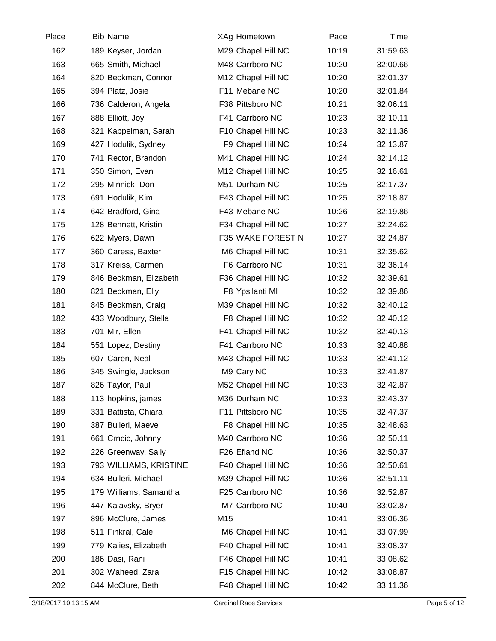| Place | <b>Bib Name</b>        | XAg Hometown       | Pace  | Time     |  |
|-------|------------------------|--------------------|-------|----------|--|
| 162   | 189 Keyser, Jordan     | M29 Chapel Hill NC | 10:19 | 31:59.63 |  |
| 163   | 665 Smith, Michael     | M48 Carrboro NC    | 10:20 | 32:00.66 |  |
| 164   | 820 Beckman, Connor    | M12 Chapel Hill NC | 10:20 | 32:01.37 |  |
| 165   | 394 Platz, Josie       | F11 Mebane NC      | 10:20 | 32:01.84 |  |
| 166   | 736 Calderon, Angela   | F38 Pittsboro NC   | 10:21 | 32:06.11 |  |
| 167   | 888 Elliott, Joy       | F41 Carrboro NC    | 10:23 | 32:10.11 |  |
| 168   | 321 Kappelman, Sarah   | F10 Chapel Hill NC | 10:23 | 32:11.36 |  |
| 169   | 427 Hodulik, Sydney    | F9 Chapel Hill NC  | 10:24 | 32:13.87 |  |
| 170   | 741 Rector, Brandon    | M41 Chapel Hill NC | 10:24 | 32:14.12 |  |
| 171   | 350 Simon, Evan        | M12 Chapel Hill NC | 10:25 | 32:16.61 |  |
| 172   | 295 Minnick, Don       | M51 Durham NC      | 10:25 | 32:17.37 |  |
| 173   | 691 Hodulik, Kim       | F43 Chapel Hill NC | 10:25 | 32:18.87 |  |
| 174   | 642 Bradford, Gina     | F43 Mebane NC      | 10:26 | 32:19.86 |  |
| 175   | 128 Bennett, Kristin   | F34 Chapel Hill NC | 10:27 | 32:24.62 |  |
| 176   | 622 Myers, Dawn        | F35 WAKE FOREST N  | 10:27 | 32:24.87 |  |
| 177   | 360 Caress, Baxter     | M6 Chapel Hill NC  | 10:31 | 32:35.62 |  |
| 178   | 317 Kreiss, Carmen     | F6 Carrboro NC     | 10:31 | 32:36.14 |  |
| 179   | 846 Beckman, Elizabeth | F36 Chapel Hill NC | 10:32 | 32:39.61 |  |
| 180   | 821 Beckman, Elly      | F8 Ypsilanti MI    | 10:32 | 32:39.86 |  |
| 181   | 845 Beckman, Craig     | M39 Chapel Hill NC | 10:32 | 32:40.12 |  |
| 182   | 433 Woodbury, Stella   | F8 Chapel Hill NC  | 10:32 | 32:40.12 |  |
| 183   | 701 Mir, Ellen         | F41 Chapel Hill NC | 10:32 | 32:40.13 |  |
| 184   | 551 Lopez, Destiny     | F41 Carrboro NC    | 10:33 | 32:40.88 |  |
| 185   | 607 Caren, Neal        | M43 Chapel Hill NC | 10:33 | 32:41.12 |  |
| 186   | 345 Swingle, Jackson   | M9 Cary NC         | 10:33 | 32:41.87 |  |
| 187   | 826 Taylor, Paul       | M52 Chapel Hill NC | 10:33 | 32:42.87 |  |
| 188   | 113 hopkins, james     | M36 Durham NC      | 10:33 | 32:43.37 |  |
| 189   | 331 Battista, Chiara   | F11 Pittsboro NC   | 10:35 | 32:47.37 |  |
| 190   | 387 Bulleri, Maeve     | F8 Chapel Hill NC  | 10:35 | 32:48.63 |  |
| 191   | 661 Crncic, Johnny     | M40 Carrboro NC    | 10:36 | 32:50.11 |  |
| 192   | 226 Greenway, Sally    | F26 Efland NC      | 10:36 | 32:50.37 |  |
| 193   | 793 WILLIAMS, KRISTINE | F40 Chapel Hill NC | 10:36 | 32:50.61 |  |
| 194   | 634 Bulleri, Michael   | M39 Chapel Hill NC | 10:36 | 32:51.11 |  |
| 195   | 179 Williams, Samantha | F25 Carrboro NC    | 10:36 | 32:52.87 |  |
| 196   | 447 Kalavsky, Bryer    | M7 Carrboro NC     | 10:40 | 33:02.87 |  |
| 197   | 896 McClure, James     | M15                | 10:41 | 33:06.36 |  |
| 198   | 511 Finkral, Cale      | M6 Chapel Hill NC  | 10:41 | 33:07.99 |  |
| 199   | 779 Kalies, Elizabeth  | F40 Chapel Hill NC | 10:41 | 33:08.37 |  |
| 200   | 186 Dasi, Rani         | F46 Chapel Hill NC | 10:41 | 33:08.62 |  |
| 201   | 302 Waheed, Zara       | F15 Chapel Hill NC | 10:42 | 33:08.87 |  |
| 202   | 844 McClure, Beth      | F48 Chapel Hill NC | 10:42 | 33:11.36 |  |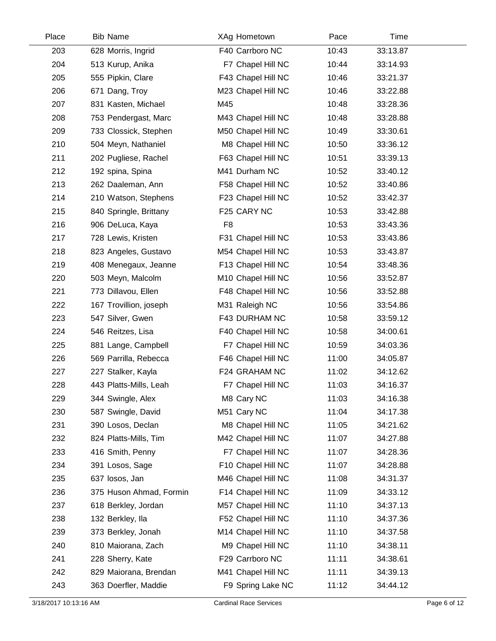| Place | <b>Bib Name</b>         | XAg Hometown       | Pace  | Time     |  |
|-------|-------------------------|--------------------|-------|----------|--|
| 203   | 628 Morris, Ingrid      | F40 Carrboro NC    | 10:43 | 33:13.87 |  |
| 204   | 513 Kurup, Anika        | F7 Chapel Hill NC  | 10:44 | 33:14.93 |  |
| 205   | 555 Pipkin, Clare       | F43 Chapel Hill NC | 10:46 | 33:21.37 |  |
| 206   | 671 Dang, Troy          | M23 Chapel Hill NC | 10:46 | 33:22.88 |  |
| 207   | 831 Kasten, Michael     | M45                | 10:48 | 33:28.36 |  |
| 208   | 753 Pendergast, Marc    | M43 Chapel Hill NC | 10:48 | 33:28.88 |  |
| 209   | 733 Clossick, Stephen   | M50 Chapel Hill NC | 10:49 | 33:30.61 |  |
| 210   | 504 Meyn, Nathaniel     | M8 Chapel Hill NC  | 10:50 | 33:36.12 |  |
| 211   | 202 Pugliese, Rachel    | F63 Chapel Hill NC | 10:51 | 33:39.13 |  |
| 212   | 192 spina, Spina        | M41 Durham NC      | 10:52 | 33:40.12 |  |
| 213   | 262 Daaleman, Ann       | F58 Chapel Hill NC | 10:52 | 33:40.86 |  |
| 214   | 210 Watson, Stephens    | F23 Chapel Hill NC | 10:52 | 33:42.37 |  |
| 215   | 840 Springle, Brittany  | F25 CARY NC        | 10:53 | 33:42.88 |  |
| 216   | 906 DeLuca, Kaya        | F <sub>8</sub>     | 10:53 | 33:43.36 |  |
| 217   | 728 Lewis, Kristen      | F31 Chapel Hill NC | 10:53 | 33:43.86 |  |
| 218   | 823 Angeles, Gustavo    | M54 Chapel Hill NC | 10:53 | 33:43.87 |  |
| 219   | 408 Menegaux, Jeanne    | F13 Chapel Hill NC | 10:54 | 33:48.36 |  |
| 220   | 503 Meyn, Malcolm       | M10 Chapel Hill NC | 10:56 | 33:52.87 |  |
| 221   | 773 Dillavou, Ellen     | F48 Chapel Hill NC | 10:56 | 33:52.88 |  |
| 222   | 167 Trovillion, joseph  | M31 Raleigh NC     | 10:56 | 33:54.86 |  |
| 223   | 547 Silver, Gwen        | F43 DURHAM NC      | 10:58 | 33:59.12 |  |
| 224   | 546 Reitzes, Lisa       | F40 Chapel Hill NC | 10:58 | 34:00.61 |  |
| 225   | 881 Lange, Campbell     | F7 Chapel Hill NC  | 10:59 | 34:03.36 |  |
| 226   | 569 Parrilla, Rebecca   | F46 Chapel Hill NC | 11:00 | 34:05.87 |  |
| 227   | 227 Stalker, Kayla      | F24 GRAHAM NC      | 11:02 | 34:12.62 |  |
| 228   | 443 Platts-Mills, Leah  | F7 Chapel Hill NC  | 11:03 | 34:16.37 |  |
| 229   | 344 Swingle, Alex       | M8 Cary NC         | 11:03 | 34:16.38 |  |
| 230   | 587 Swingle, David      | M51 Cary NC        | 11:04 | 34:17.38 |  |
| 231   | 390 Losos, Declan       | M8 Chapel Hill NC  | 11:05 | 34:21.62 |  |
| 232   | 824 Platts-Mills, Tim   | M42 Chapel Hill NC | 11:07 | 34:27.88 |  |
| 233   | 416 Smith, Penny        | F7 Chapel Hill NC  | 11:07 | 34:28.36 |  |
| 234   | 391 Losos, Sage         | F10 Chapel Hill NC | 11:07 | 34:28.88 |  |
| 235   | 637 losos, Jan          | M46 Chapel Hill NC | 11:08 | 34:31.37 |  |
| 236   | 375 Huson Ahmad, Formin | F14 Chapel Hill NC | 11:09 | 34:33.12 |  |
| 237   | 618 Berkley, Jordan     | M57 Chapel Hill NC | 11:10 | 34:37.13 |  |
| 238   | 132 Berkley, Ila        | F52 Chapel Hill NC | 11:10 | 34:37.36 |  |
| 239   | 373 Berkley, Jonah      | M14 Chapel Hill NC | 11:10 | 34:37.58 |  |
| 240   | 810 Maiorana, Zach      | M9 Chapel Hill NC  | 11:10 | 34:38.11 |  |
| 241   | 228 Sherry, Kate        | F29 Carrboro NC    | 11:11 | 34:38.61 |  |
| 242   | 829 Maiorana, Brendan   | M41 Chapel Hill NC | 11:11 | 34:39.13 |  |
| 243   | 363 Doerfler, Maddie    | F9 Spring Lake NC  | 11:12 | 34:44.12 |  |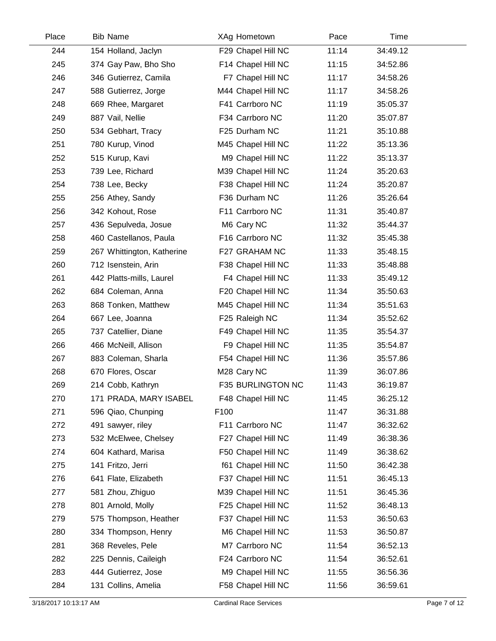| Place | <b>Bib Name</b>            | XAg Hometown             | Pace  | Time     |  |
|-------|----------------------------|--------------------------|-------|----------|--|
| 244   | 154 Holland, Jaclyn        | F29 Chapel Hill NC       | 11:14 | 34:49.12 |  |
| 245   | 374 Gay Paw, Bho Sho       | F14 Chapel Hill NC       | 11:15 | 34:52.86 |  |
| 246   | 346 Gutierrez, Camila      | F7 Chapel Hill NC        | 11:17 | 34:58.26 |  |
| 247   | 588 Gutierrez, Jorge       | M44 Chapel Hill NC       | 11:17 | 34:58.26 |  |
| 248   | 669 Rhee, Margaret         | F41 Carrboro NC          | 11:19 | 35:05.37 |  |
| 249   | 887 Vail, Nellie           | F34 Carrboro NC          | 11:20 | 35:07.87 |  |
| 250   | 534 Gebhart, Tracy         | F25 Durham NC            | 11:21 | 35:10.88 |  |
| 251   | 780 Kurup, Vinod           | M45 Chapel Hill NC       | 11:22 | 35:13.36 |  |
| 252   | 515 Kurup, Kavi            | M9 Chapel Hill NC        | 11:22 | 35:13.37 |  |
| 253   | 739 Lee, Richard           | M39 Chapel Hill NC       | 11:24 | 35:20.63 |  |
| 254   | 738 Lee, Becky             | F38 Chapel Hill NC       | 11:24 | 35:20.87 |  |
| 255   | 256 Athey, Sandy           | F36 Durham NC            | 11:26 | 35:26.64 |  |
| 256   | 342 Kohout, Rose           | F11 Carrboro NC          | 11:31 | 35:40.87 |  |
| 257   | 436 Sepulveda, Josue       | M6 Cary NC               | 11:32 | 35:44.37 |  |
| 258   | 460 Castellanos, Paula     | F16 Carrboro NC          | 11:32 | 35:45.38 |  |
| 259   | 267 Whittington, Katherine | F27 GRAHAM NC            | 11:33 | 35:48.15 |  |
| 260   | 712 Isenstein, Arin        | F38 Chapel Hill NC       | 11:33 | 35:48.88 |  |
| 261   | 442 Platts-mills, Laurel   | F4 Chapel Hill NC        | 11:33 | 35:49.12 |  |
| 262   | 684 Coleman, Anna          | F20 Chapel Hill NC       | 11:34 | 35:50.63 |  |
| 263   | 868 Tonken, Matthew        | M45 Chapel Hill NC       | 11:34 | 35:51.63 |  |
| 264   | 667 Lee, Joanna            | F25 Raleigh NC           | 11:34 | 35:52.62 |  |
| 265   | 737 Catellier, Diane       | F49 Chapel Hill NC       | 11:35 | 35:54.37 |  |
| 266   | 466 McNeill, Allison       | F9 Chapel Hill NC        | 11:35 | 35:54.87 |  |
| 267   | 883 Coleman, Sharla        | F54 Chapel Hill NC       | 11:36 | 35:57.86 |  |
| 268   | 670 Flores, Oscar          | M28 Cary NC              | 11:39 | 36:07.86 |  |
| 269   | 214 Cobb, Kathryn          | <b>F35 BURLINGTON NC</b> | 11:43 | 36:19.87 |  |
| 270   | 171 PRADA, MARY ISABEL     | F48 Chapel Hill NC       | 11:45 | 36:25.12 |  |
| 271   | 596 Qiao, Chunping         | F100                     | 11:47 | 36:31.88 |  |
| 272   | 491 sawyer, riley          | F11 Carrboro NC          | 11:47 | 36:32.62 |  |
| 273   | 532 McElwee, Chelsey       | F27 Chapel Hill NC       | 11:49 | 36:38.36 |  |
| 274   | 604 Kathard, Marisa        | F50 Chapel Hill NC       | 11:49 | 36:38.62 |  |
| 275   | 141 Fritzo, Jerri          | f61 Chapel Hill NC       | 11:50 | 36:42.38 |  |
| 276   | 641 Flate, Elizabeth       | F37 Chapel Hill NC       | 11:51 | 36:45.13 |  |
| 277   | 581 Zhou, Zhiguo           | M39 Chapel Hill NC       | 11:51 | 36:45.36 |  |
| 278   | 801 Arnold, Molly          | F25 Chapel Hill NC       | 11:52 | 36:48.13 |  |
| 279   | 575 Thompson, Heather      | F37 Chapel Hill NC       | 11:53 | 36:50.63 |  |
| 280   | 334 Thompson, Henry        | M6 Chapel Hill NC        | 11:53 | 36:50.87 |  |
| 281   | 368 Reveles, Pele          | M7 Carrboro NC           | 11:54 | 36:52.13 |  |
| 282   | 225 Dennis, Caileigh       | F24 Carrboro NC          | 11:54 | 36:52.61 |  |
| 283   | 444 Gutierrez, Jose        | M9 Chapel Hill NC        | 11:55 | 36:56.36 |  |
| 284   | 131 Collins, Amelia        | F58 Chapel Hill NC       | 11:56 | 36:59.61 |  |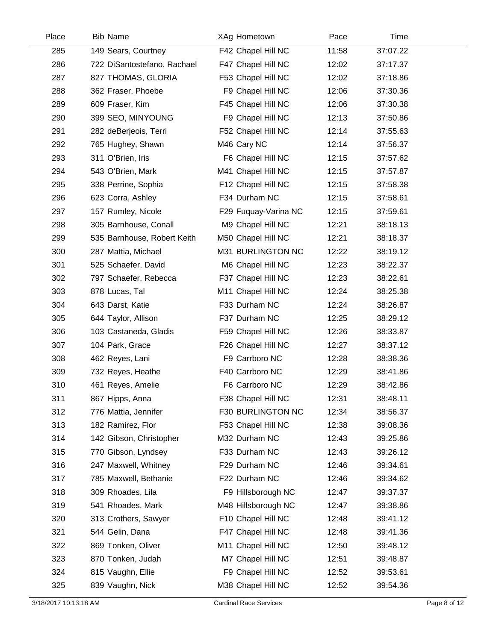| Place | <b>Bib Name</b>             | XAg Hometown         | Pace  | Time     |  |
|-------|-----------------------------|----------------------|-------|----------|--|
| 285   | 149 Sears, Courtney         | F42 Chapel Hill NC   | 11:58 | 37:07.22 |  |
| 286   | 722 DiSantostefano, Rachael | F47 Chapel Hill NC   | 12:02 | 37:17.37 |  |
| 287   | 827 THOMAS, GLORIA          | F53 Chapel Hill NC   | 12:02 | 37:18.86 |  |
| 288   | 362 Fraser, Phoebe          | F9 Chapel Hill NC    | 12:06 | 37:30.36 |  |
| 289   | 609 Fraser, Kim             | F45 Chapel Hill NC   | 12:06 | 37:30.38 |  |
| 290   | 399 SEO, MINYOUNG           | F9 Chapel Hill NC    | 12:13 | 37:50.86 |  |
| 291   | 282 deBerjeois, Terri       | F52 Chapel Hill NC   | 12:14 | 37:55.63 |  |
| 292   | 765 Hughey, Shawn           | M46 Cary NC          | 12:14 | 37:56.37 |  |
| 293   | 311 O'Brien, Iris           | F6 Chapel Hill NC    | 12:15 | 37:57.62 |  |
| 294   | 543 O'Brien, Mark           | M41 Chapel Hill NC   | 12:15 | 37:57.87 |  |
| 295   | 338 Perrine, Sophia         | F12 Chapel Hill NC   | 12:15 | 37:58.38 |  |
| 296   | 623 Corra, Ashley           | F34 Durham NC        | 12:15 | 37:58.61 |  |
| 297   | 157 Rumley, Nicole          | F29 Fuguay-Varina NC | 12:15 | 37:59.61 |  |
| 298   | 305 Barnhouse, Conall       | M9 Chapel Hill NC    | 12:21 | 38:18.13 |  |
| 299   | 535 Barnhouse, Robert Keith | M50 Chapel Hill NC   | 12:21 | 38:18.37 |  |
| 300   | 287 Mattia, Michael         | M31 BURLINGTON NC    | 12:22 | 38:19.12 |  |
| 301   | 525 Schaefer, David         | M6 Chapel Hill NC    | 12:23 | 38:22.37 |  |
| 302   | 797 Schaefer, Rebecca       | F37 Chapel Hill NC   | 12:23 | 38:22.61 |  |
| 303   | 878 Lucas, Tal              | M11 Chapel Hill NC   | 12:24 | 38:25.38 |  |
| 304   | 643 Darst, Katie            | F33 Durham NC        | 12:24 | 38:26.87 |  |
| 305   | 644 Taylor, Allison         | F37 Durham NC        | 12:25 | 38:29.12 |  |
| 306   | 103 Castaneda, Gladis       | F59 Chapel Hill NC   | 12:26 | 38:33.87 |  |
| 307   | 104 Park, Grace             | F26 Chapel Hill NC   | 12:27 | 38:37.12 |  |
| 308   | 462 Reyes, Lani             | F9 Carrboro NC       | 12:28 | 38:38.36 |  |
| 309   | 732 Reyes, Heathe           | F40 Carrboro NC      | 12:29 | 38:41.86 |  |
| 310   | 461 Reyes, Amelie           | F6 Carrboro NC       | 12:29 | 38:42.86 |  |
| 311   | 867 Hipps, Anna             | F38 Chapel Hill NC   | 12:31 | 38:48.11 |  |
| 312   | 776 Mattia, Jennifer        | F30 BURLINGTON NC    | 12:34 | 38:56.37 |  |
| 313   | 182 Ramirez, Flor           | F53 Chapel Hill NC   | 12:38 | 39:08.36 |  |
| 314   | 142 Gibson, Christopher     | M32 Durham NC        | 12:43 | 39:25.86 |  |
| 315   | 770 Gibson, Lyndsey         | F33 Durham NC        | 12:43 | 39:26.12 |  |
| 316   | 247 Maxwell, Whitney        | F29 Durham NC        | 12:46 | 39:34.61 |  |
| 317   | 785 Maxwell, Bethanie       | F22 Durham NC        | 12:46 | 39:34.62 |  |
| 318   | 309 Rhoades, Lila           | F9 Hillsborough NC   | 12:47 | 39:37.37 |  |
| 319   | 541 Rhoades, Mark           | M48 Hillsborough NC  | 12:47 | 39:38.86 |  |
| 320   | 313 Crothers, Sawyer        | F10 Chapel Hill NC   | 12:48 | 39:41.12 |  |
| 321   | 544 Gelin, Dana             | F47 Chapel Hill NC   | 12:48 | 39:41.36 |  |
| 322   | 869 Tonken, Oliver          | M11 Chapel Hill NC   | 12:50 | 39:48.12 |  |
| 323   | 870 Tonken, Judah           | M7 Chapel Hill NC    | 12:51 | 39:48.87 |  |
| 324   | 815 Vaughn, Ellie           | F9 Chapel Hill NC    | 12:52 | 39:53.61 |  |
| 325   | 839 Vaughn, Nick            | M38 Chapel Hill NC   | 12:52 | 39:54.36 |  |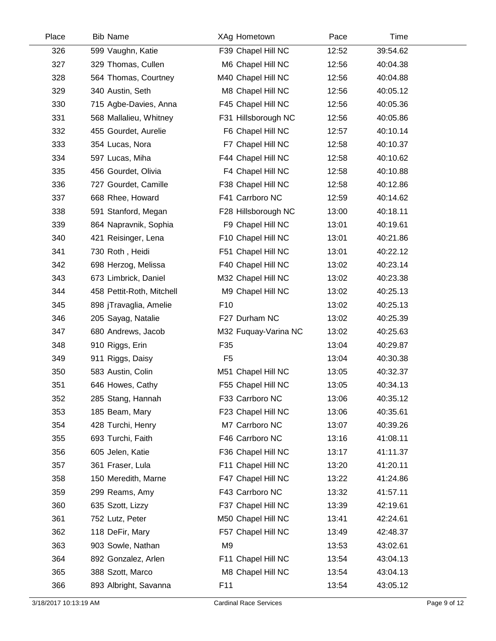| Place | <b>Bib Name</b>           | XAg Hometown         | Pace  | Time     |
|-------|---------------------------|----------------------|-------|----------|
| 326   | 599 Vaughn, Katie         | F39 Chapel Hill NC   | 12:52 | 39:54.62 |
| 327   | 329 Thomas, Cullen        | M6 Chapel Hill NC    | 12:56 | 40:04.38 |
| 328   | 564 Thomas, Courtney      | M40 Chapel Hill NC   | 12:56 | 40:04.88 |
| 329   | 340 Austin, Seth          | M8 Chapel Hill NC    | 12:56 | 40:05.12 |
| 330   | 715 Agbe-Davies, Anna     | F45 Chapel Hill NC   | 12:56 | 40:05.36 |
| 331   | 568 Mallalieu, Whitney    | F31 Hillsborough NC  | 12:56 | 40:05.86 |
| 332   | 455 Gourdet, Aurelie      | F6 Chapel Hill NC    | 12:57 | 40:10.14 |
| 333   | 354 Lucas, Nora           | F7 Chapel Hill NC    | 12:58 | 40:10.37 |
| 334   | 597 Lucas, Miha           | F44 Chapel Hill NC   | 12:58 | 40:10.62 |
| 335   | 456 Gourdet, Olivia       | F4 Chapel Hill NC    | 12:58 | 40:10.88 |
| 336   | 727 Gourdet, Camille      | F38 Chapel Hill NC   | 12:58 | 40:12.86 |
| 337   | 668 Rhee, Howard          | F41 Carrboro NC      | 12:59 | 40:14.62 |
| 338   | 591 Stanford, Megan       | F28 Hillsborough NC  | 13:00 | 40:18.11 |
| 339   | 864 Napravnik, Sophia     | F9 Chapel Hill NC    | 13:01 | 40:19.61 |
| 340   | 421 Reisinger, Lena       | F10 Chapel Hill NC   | 13:01 | 40:21.86 |
| 341   | 730 Roth, Heidi           | F51 Chapel Hill NC   | 13:01 | 40:22.12 |
| 342   | 698 Herzog, Melissa       | F40 Chapel Hill NC   | 13:02 | 40:23.14 |
| 343   | 673 Limbrick, Daniel      | M32 Chapel Hill NC   | 13:02 | 40:23.38 |
| 344   | 458 Pettit-Roth, Mitchell | M9 Chapel Hill NC    | 13:02 | 40:25.13 |
| 345   | 898 jTravaglia, Amelie    | F <sub>10</sub>      | 13:02 | 40:25.13 |
| 346   | 205 Sayag, Natalie        | F27 Durham NC        | 13:02 | 40:25.39 |
| 347   | 680 Andrews, Jacob        | M32 Fuquay-Varina NC | 13:02 | 40:25.63 |
| 348   | 910 Riggs, Erin           | F35                  | 13:04 | 40:29.87 |
| 349   | 911 Riggs, Daisy          | F <sub>5</sub>       | 13:04 | 40:30.38 |
| 350   | 583 Austin, Colin         | M51 Chapel Hill NC   | 13:05 | 40:32.37 |
| 351   | 646 Howes, Cathy          | F55 Chapel Hill NC   | 13:05 | 40:34.13 |
| 352   | 285 Stang, Hannah         | F33 Carrboro NC      | 13:06 | 40:35.12 |
| 353   | 185 Beam, Mary            | F23 Chapel Hill NC   | 13:06 | 40:35.61 |
| 354   | 428 Turchi, Henry         | M7 Carrboro NC       | 13:07 | 40:39.26 |
| 355   | 693 Turchi, Faith         | F46 Carrboro NC      | 13:16 | 41:08.11 |
| 356   | 605 Jelen, Katie          | F36 Chapel Hill NC   | 13:17 | 41:11.37 |
| 357   | 361 Fraser, Lula          | F11 Chapel Hill NC   | 13:20 | 41:20.11 |
| 358   | 150 Meredith, Marne       | F47 Chapel Hill NC   | 13:22 | 41:24.86 |
| 359   | 299 Reams, Amy            | F43 Carrboro NC      | 13:32 | 41:57.11 |
| 360   | 635 Szott, Lizzy          | F37 Chapel Hill NC   | 13:39 | 42:19.61 |
| 361   | 752 Lutz, Peter           | M50 Chapel Hill NC   | 13:41 | 42:24.61 |
| 362   | 118 DeFir, Mary           | F57 Chapel Hill NC   | 13:49 | 42:48.37 |
| 363   | 903 Sowle, Nathan         | M <sub>9</sub>       | 13:53 | 43:02.61 |
| 364   | 892 Gonzalez, Arlen       | F11 Chapel Hill NC   | 13:54 | 43:04.13 |
| 365   | 388 Szott, Marco          | M8 Chapel Hill NC    | 13:54 | 43:04.13 |
| 366   | 893 Albright, Savanna     | F11                  | 13:54 | 43:05.12 |
|       |                           |                      |       |          |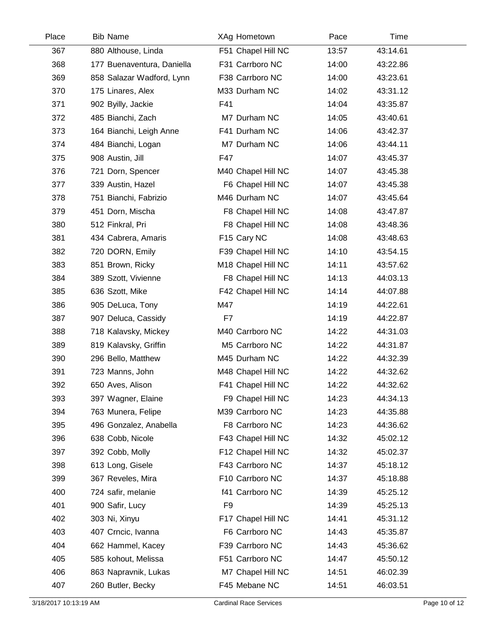| Place | <b>Bib Name</b>            | XAg Hometown       | Pace  | Time     |  |
|-------|----------------------------|--------------------|-------|----------|--|
| 367   | 880 Althouse, Linda        | F51 Chapel Hill NC | 13:57 | 43:14.61 |  |
| 368   | 177 Buenaventura, Daniella | F31 Carrboro NC    | 14:00 | 43:22.86 |  |
| 369   | 858 Salazar Wadford, Lynn  | F38 Carrboro NC    | 14:00 | 43:23.61 |  |
| 370   | 175 Linares, Alex          | M33 Durham NC      | 14:02 | 43:31.12 |  |
| 371   | 902 Byilly, Jackie         | F41                | 14:04 | 43:35.87 |  |
| 372   | 485 Bianchi, Zach          | M7 Durham NC       | 14:05 | 43:40.61 |  |
| 373   | 164 Bianchi, Leigh Anne    | F41 Durham NC      | 14:06 | 43:42.37 |  |
| 374   | 484 Bianchi, Logan         | M7 Durham NC       | 14:06 | 43:44.11 |  |
| 375   | 908 Austin, Jill           | F47                | 14:07 | 43:45.37 |  |
| 376   | 721 Dorn, Spencer          | M40 Chapel Hill NC | 14:07 | 43:45.38 |  |
| 377   | 339 Austin, Hazel          | F6 Chapel Hill NC  | 14:07 | 43:45.38 |  |
| 378   | 751 Bianchi, Fabrizio      | M46 Durham NC      | 14:07 | 43:45.64 |  |
| 379   | 451 Dorn, Mischa           | F8 Chapel Hill NC  | 14:08 | 43:47.87 |  |
| 380   | 512 Finkral, Pri           | F8 Chapel Hill NC  | 14:08 | 43:48.36 |  |
| 381   | 434 Cabrera, Amaris        | F15 Cary NC        | 14:08 | 43:48.63 |  |
| 382   | 720 DORN, Emily            | F39 Chapel Hill NC | 14:10 | 43:54.15 |  |
| 383   | 851 Brown, Ricky           | M18 Chapel Hill NC | 14:11 | 43:57.62 |  |
| 384   | 389 Szott, Vivienne        | F8 Chapel Hill NC  | 14:13 | 44:03.13 |  |
| 385   | 636 Szott, Mike            | F42 Chapel Hill NC | 14:14 | 44:07.88 |  |
| 386   | 905 DeLuca, Tony           | M47                | 14:19 | 44:22.61 |  |
| 387   | 907 Deluca, Cassidy        | F7                 | 14:19 | 44:22.87 |  |
| 388   | 718 Kalavsky, Mickey       | M40 Carrboro NC    | 14:22 | 44:31.03 |  |
| 389   | 819 Kalavsky, Griffin      | M5 Carrboro NC     | 14:22 | 44:31.87 |  |
| 390   | 296 Bello, Matthew         | M45 Durham NC      | 14:22 | 44:32.39 |  |
| 391   | 723 Manns, John            | M48 Chapel Hill NC | 14:22 | 44:32.62 |  |
| 392   | 650 Aves, Alison           | F41 Chapel Hill NC | 14:22 | 44:32.62 |  |
| 393   | 397 Wagner, Elaine         | F9 Chapel Hill NC  | 14:23 | 44:34.13 |  |
| 394   | 763 Munera, Felipe         | M39 Carrboro NC    | 14:23 | 44:35.88 |  |
| 395   | 496 Gonzalez, Anabella     | F8 Carrboro NC     | 14:23 | 44:36.62 |  |
| 396   | 638 Cobb, Nicole           | F43 Chapel Hill NC | 14:32 | 45:02.12 |  |
| 397   | 392 Cobb, Molly            | F12 Chapel Hill NC | 14:32 | 45:02.37 |  |
| 398   | 613 Long, Gisele           | F43 Carrboro NC    | 14:37 | 45:18.12 |  |
| 399   | 367 Reveles, Mira          | F10 Carrboro NC    | 14:37 | 45:18.88 |  |
| 400   | 724 safir, melanie         | f41 Carrboro NC    | 14:39 | 45:25.12 |  |
| 401   | 900 Safir, Lucy            | F <sub>9</sub>     | 14:39 | 45:25.13 |  |
| 402   | 303 Ni, Xinyu              | F17 Chapel Hill NC | 14:41 | 45:31.12 |  |
| 403   | 407 Crncic, Ivanna         | F6 Carrboro NC     | 14:43 | 45:35.87 |  |
| 404   | 662 Hammel, Kacey          | F39 Carrboro NC    | 14:43 | 45:36.62 |  |
| 405   | 585 kohout, Melissa        | F51 Carrboro NC    | 14:47 | 45:50.12 |  |
| 406   | 863 Napravnik, Lukas       | M7 Chapel Hill NC  | 14:51 | 46:02.39 |  |
| 407   | 260 Butler, Becky          | F45 Mebane NC      | 14:51 | 46:03.51 |  |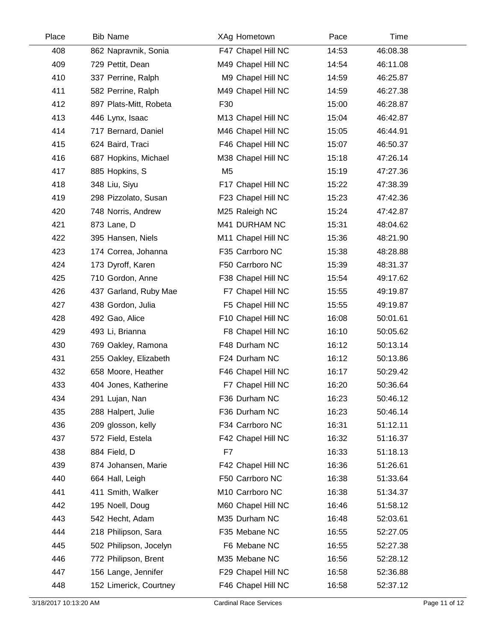| Place | <b>Bib Name</b>        | XAg Hometown       | Pace  | Time     |  |
|-------|------------------------|--------------------|-------|----------|--|
| 408   | 862 Napravnik, Sonia   | F47 Chapel Hill NC | 14:53 | 46:08.38 |  |
| 409   | 729 Pettit, Dean       | M49 Chapel Hill NC | 14:54 | 46:11.08 |  |
| 410   | 337 Perrine, Ralph     | M9 Chapel Hill NC  | 14:59 | 46:25.87 |  |
| 411   | 582 Perrine, Ralph     | M49 Chapel Hill NC | 14:59 | 46:27.38 |  |
| 412   | 897 Plats-Mitt, Robeta | F30                | 15:00 | 46:28.87 |  |
| 413   | 446 Lynx, Isaac        | M13 Chapel Hill NC | 15:04 | 46:42.87 |  |
| 414   | 717 Bernard, Daniel    | M46 Chapel Hill NC | 15:05 | 46:44.91 |  |
| 415   | 624 Baird, Traci       | F46 Chapel Hill NC | 15:07 | 46:50.37 |  |
| 416   | 687 Hopkins, Michael   | M38 Chapel Hill NC | 15:18 | 47:26.14 |  |
| 417   | 885 Hopkins, S         | M <sub>5</sub>     | 15:19 | 47:27.36 |  |
| 418   | 348 Liu, Siyu          | F17 Chapel Hill NC | 15:22 | 47:38.39 |  |
| 419   | 298 Pizzolato, Susan   | F23 Chapel Hill NC | 15:23 | 47:42.36 |  |
| 420   | 748 Norris, Andrew     | M25 Raleigh NC     | 15:24 | 47:42.87 |  |
| 421   | 873 Lane, D            | M41 DURHAM NC      | 15:31 | 48:04.62 |  |
| 422   | 395 Hansen, Niels      | M11 Chapel Hill NC | 15:36 | 48:21.90 |  |
| 423   | 174 Correa, Johanna    | F35 Carrboro NC    | 15:38 | 48:28.88 |  |
| 424   | 173 Dyroff, Karen      | F50 Carrboro NC    | 15:39 | 48:31.37 |  |
| 425   | 710 Gordon, Anne       | F38 Chapel Hill NC | 15:54 | 49:17.62 |  |
| 426   | 437 Garland, Ruby Mae  | F7 Chapel Hill NC  | 15:55 | 49:19.87 |  |
| 427   | 438 Gordon, Julia      | F5 Chapel Hill NC  | 15:55 | 49:19.87 |  |
| 428   | 492 Gao, Alice         | F10 Chapel Hill NC | 16:08 | 50:01.61 |  |
| 429   | 493 Li, Brianna        | F8 Chapel Hill NC  | 16:10 | 50:05.62 |  |
| 430   | 769 Oakley, Ramona     | F48 Durham NC      | 16:12 | 50:13.14 |  |
| 431   | 255 Oakley, Elizabeth  | F24 Durham NC      | 16:12 | 50:13.86 |  |
| 432   | 658 Moore, Heather     | F46 Chapel Hill NC | 16:17 | 50:29.42 |  |
| 433   | 404 Jones, Katherine   | F7 Chapel Hill NC  | 16:20 | 50:36.64 |  |
| 434   | 291 Lujan, Nan         | F36 Durham NC      | 16:23 | 50:46.12 |  |
| 435   | 288 Halpert, Julie     | F36 Durham NC      | 16:23 | 50:46.14 |  |
| 436   | 209 glosson, kelly     | F34 Carrboro NC    | 16:31 | 51:12.11 |  |
| 437   | 572 Field, Estela      | F42 Chapel Hill NC | 16:32 | 51:16.37 |  |
| 438   | 884 Field, D           | F7                 | 16:33 | 51:18.13 |  |
| 439   | 874 Johansen, Marie    | F42 Chapel Hill NC | 16:36 | 51:26.61 |  |
| 440   | 664 Hall, Leigh        | F50 Carrboro NC    | 16:38 | 51:33.64 |  |
| 441   | 411 Smith, Walker      | M10 Carrboro NC    | 16:38 | 51:34.37 |  |
| 442   | 195 Noell, Doug        | M60 Chapel Hill NC | 16:46 | 51:58.12 |  |
| 443   | 542 Hecht, Adam        | M35 Durham NC      | 16:48 | 52:03.61 |  |
| 444   | 218 Philipson, Sara    | F35 Mebane NC      | 16:55 | 52:27.05 |  |
| 445   | 502 Philipson, Jocelyn | F6 Mebane NC       | 16:55 | 52:27.38 |  |
| 446   | 772 Philipson, Brent   | M35 Mebane NC      | 16:56 | 52:28.12 |  |
| 447   | 156 Lange, Jennifer    | F29 Chapel Hill NC | 16:58 | 52:36.88 |  |
| 448   | 152 Limerick, Courtney | F46 Chapel Hill NC | 16:58 | 52:37.12 |  |